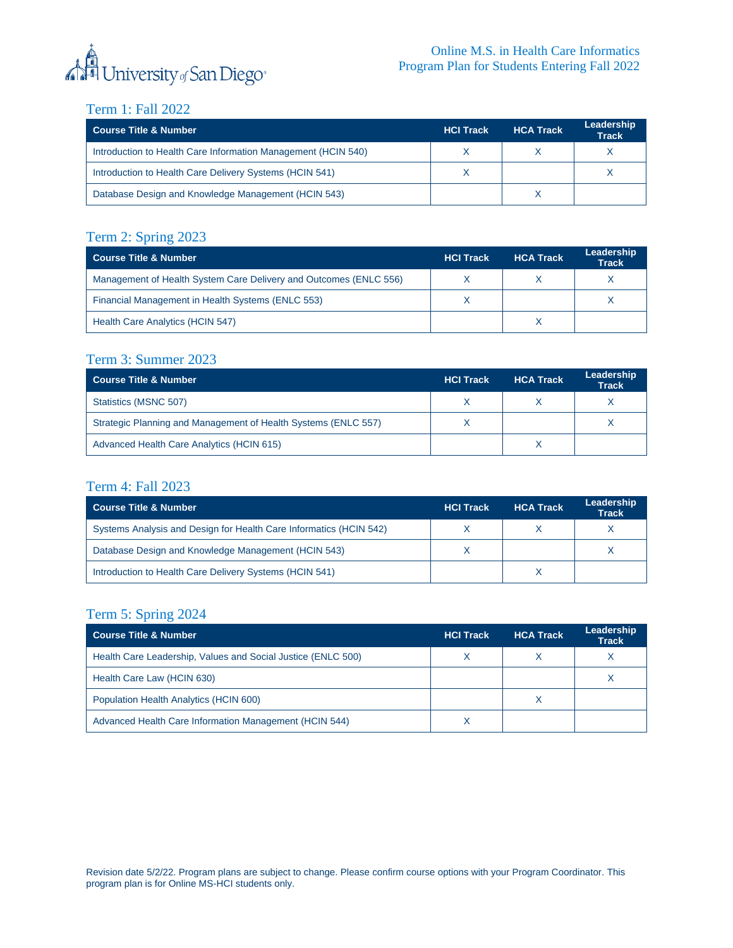

## Term 1: Fall 2022

| <b>Course Title &amp; Number</b>                              | <b>HCI Track</b> | <b>HCA Track</b> | Leadership<br><b>Track</b> |
|---------------------------------------------------------------|------------------|------------------|----------------------------|
| Introduction to Health Care Information Management (HCIN 540) |                  |                  |                            |
| Introduction to Health Care Delivery Systems (HCIN 541)       |                  |                  |                            |
| Database Design and Knowledge Management (HCIN 543)           |                  |                  |                            |

## Term 2: Spring 2023

| <b>Course Title &amp; Number</b>                                  | <b>HCI Track</b> | <b>HCA Track</b> | Leadership<br><b>Track</b> |
|-------------------------------------------------------------------|------------------|------------------|----------------------------|
| Management of Health System Care Delivery and Outcomes (ENLC 556) |                  |                  |                            |
| Financial Management in Health Systems (ENLC 553)                 |                  |                  |                            |
| Health Care Analytics (HCIN 547)                                  |                  |                  |                            |

#### Term 3: Summer 2023

| <b>Course Title &amp; Number</b>                               | <b>HCI Track</b> | <b>HCA Track</b> | Leadership<br><b>Track</b> |
|----------------------------------------------------------------|------------------|------------------|----------------------------|
| Statistics (MSNC 507)                                          |                  |                  |                            |
| Strategic Planning and Management of Health Systems (ENLC 557) |                  |                  |                            |
| Advanced Health Care Analytics (HCIN 615)                      |                  |                  |                            |

### Term 4: Fall 2023

| <b>Course Title &amp; Number</b>                                   | <b>HCI Track</b> | <b>HCA Track</b> | Leadership<br><b>Track</b> |
|--------------------------------------------------------------------|------------------|------------------|----------------------------|
| Systems Analysis and Design for Health Care Informatics (HCIN 542) |                  |                  |                            |
| Database Design and Knowledge Management (HCIN 543)                |                  |                  |                            |
| Introduction to Health Care Delivery Systems (HCIN 541)            |                  |                  |                            |

# Term 5: Spring 2024

| <b>Course Title &amp; Number</b>                             | <b>HCI Track</b> | <b>HCA Track</b> | Leadership<br><b>Track</b> |
|--------------------------------------------------------------|------------------|------------------|----------------------------|
| Health Care Leadership, Values and Social Justice (ENLC 500) |                  |                  |                            |
| Health Care Law (HCIN 630)                                   |                  |                  |                            |
| Population Health Analytics (HCIN 600)                       |                  | X                |                            |
| Advanced Health Care Information Management (HCIN 544)       |                  |                  |                            |